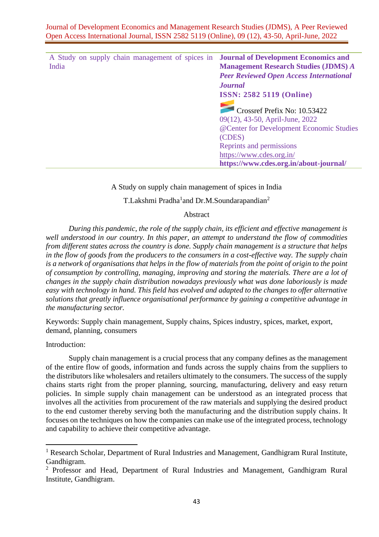| A Study on supply chain management of spices in | <b>Journal of Development Economics and</b>                     |
|-------------------------------------------------|-----------------------------------------------------------------|
| India                                           | <b>Management Research Studies (JDMS) A</b>                     |
|                                                 | <b>Peer Reviewed Open Access International</b>                  |
|                                                 | <b>Journal</b>                                                  |
|                                                 | <b>ISSN: 2582 5119 (Online)</b>                                 |
|                                                 | Crossref Prefix No: 10.53422<br>09(12), 43-50, April-June, 2022 |
|                                                 | @Center for Development Economic Studies                        |
|                                                 | (CDES)                                                          |
|                                                 | Reprints and permissions                                        |
|                                                 | https://www.cdes.org.in/                                        |
|                                                 | https://www.cdes.org.in/about-journal/                          |

A Study on supply chain management of spices in India

## T.Lakshmi Pradha<sup>1</sup>and Dr.M.Soundarapandian<sup>2</sup>

### Abstract

*During this pandemic, the role of the supply chain, its efficient and effective management is well understood in our country. In this paper, an attempt to understand the flow of commodities from different states across the country is done. Supply chain management is a structure that helps in the flow of goods from the producers to the consumers in a cost-effective way. The supply chain is a network of organisations that helps in the flow of materials from the point of origin to the point of consumption by controlling, managing, improving and storing the materials. There are a lot of changes in the supply chain distribution nowadays previously what was done laboriously is made easy with technology in hand. This field has evolved and adapted to the changes to offer alternative solutions that greatly influence organisational performance by gaining a competitive advantage in the manufacturing sector.*

Keywords: Supply chain management, Supply chains, Spices industry, spices, market, export, demand, planning, consumers

Introduction:

Supply chain management is a crucial process that any company defines as the management of the entire flow of goods, information and funds across the supply chains from the suppliers to the distributors like wholesalers and retailers ultimately to the consumers. The success of the supply chains starts right from the proper planning, sourcing, manufacturing, delivery and easy return policies. In simple supply chain management can be understood as an integrated process that involves all the activities from procurement of the raw materials and supplying the desired product to the end customer thereby serving both the manufacturing and the distribution supply chains. It focuses on the techniques on how the companies can make use of the integrated process, technology and capability to achieve their competitive advantage.

<sup>&</sup>lt;sup>1</sup> Research Scholar, Department of Rural Industries and Management, Gandhigram Rural Institute, Gandhigram.

<sup>&</sup>lt;sup>2</sup> Professor and Head, Department of Rural Industries and Management, Gandhigram Rural Institute, Gandhigram.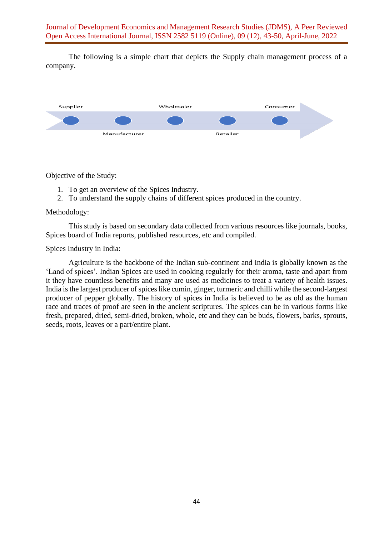The following is a simple chart that depicts the Supply chain management process of a company.

| Supplier |              | Wholesaler |          | Consumer |  |  |
|----------|--------------|------------|----------|----------|--|--|
|          |              |            |          |          |  |  |
|          | Manufacturer |            | Retailer |          |  |  |

Objective of the Study:

- 1. To get an overview of the Spices Industry.
- 2. To understand the supply chains of different spices produced in the country.

## Methodology:

This study is based on secondary data collected from various resources like journals, books, Spices board of India reports, published resources, etc and compiled.

Spices Industry in India:

Agriculture is the backbone of the Indian sub-continent and India is globally known as the 'Land of spices'. Indian Spices are used in cooking regularly for their aroma, taste and apart from it they have countless benefits and many are used as medicines to treat a variety of health issues. India is the largest producer of spices like cumin, ginger, turmeric and chilli while the second-largest producer of pepper globally. The history of spices in India is believed to be as old as the human race and traces of proof are seen in the ancient scriptures. The spices can be in various forms like fresh, prepared, dried, semi-dried, broken, whole, etc and they can be buds, flowers, barks, sprouts, seeds, roots, leaves or a part/entire plant.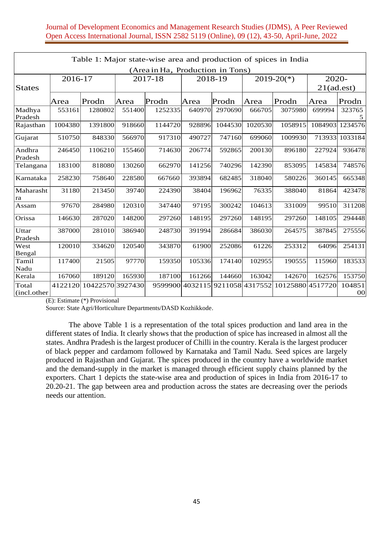# Journal of Development Economics and Management Research Studies (JDMS), A Peer Reviewed Open Access International Journal, ISSN 2582 5119 (Online), 09 (12), 43-50, April-June, 2022

| Table 1: Major state-wise area and production of spices in India |         |                  |        |         |        |                                 |         |                  |               |              |  |
|------------------------------------------------------------------|---------|------------------|--------|---------|--------|---------------------------------|---------|------------------|---------------|--------------|--|
| (Area in Ha, Production in Tons)                                 |         |                  |        |         |        |                                 |         |                  |               |              |  |
| 2016-17                                                          |         | 2017-18          |        | 2018-19 |        | $2019-20(*)$                    |         | 2020-            |               |              |  |
| <b>States</b>                                                    |         |                  |        |         |        |                                 |         |                  | $21$ (ad.est) |              |  |
|                                                                  | Area    | Prodn            | Area   | Prodn   | Area   | Prodn                           | Area    | Prodn            | Area          | Prodn        |  |
| Madhya<br>Pradesh                                                | 553161  | 1280802          | 551400 | 1252335 | 640970 | 2970690                         | 666705  | 3075980          | 699994        | 323765<br>5  |  |
| Rajasthan                                                        | 1004380 | 1391800          | 918660 | 1144720 | 928896 | 1044530                         | 1020530 | 1058915          | 1084903       | 1234576      |  |
| Gujarat                                                          | 510750  | 848330           | 566970 | 917310  | 490727 | 747160                          | 699060  | 1009930          | 713933        | 1033184      |  |
| Andhra<br>Pradesh                                                | 246450  | 1106210          | 155460 | 714630  | 206774 | 592865                          | 200130  | 896180           | 227924        | 936478       |  |
| Telangana                                                        | 183100  | 818080           | 130260 | 662970  | 141256 | 740296                          | 142390  | 853095           | 145834        | 748576       |  |
| Karnataka                                                        | 258230  | 758640           | 228580 | 667660  | 393894 | 682485                          | 318040  | 580226           | 360145        | 665348       |  |
| Maharasht<br> ra                                                 | 31180   | 213450           | 39740  | 224390  | 38404  | 196962                          | 76335   | 388040           | 81864         | 423478       |  |
| Assam                                                            | 97670   | 284980           | 120310 | 347440  | 97195  | 300242                          | 104613  | 331009           | 99510         | 311208       |  |
| Orissa                                                           | 146630  | 287020           | 148200 | 297260  | 148195 | 297260                          | 148195  | 297260           | 148105        | 294448       |  |
| Uttar<br>Pradesh                                                 | 387000  | 281010           | 386940 | 248730  | 391994 | 286684                          | 386030  | 264575           | 387845        | 275556       |  |
| West<br>Bengal                                                   | 120010  | 334620           | 120540 | 343870  | 61900  | 252086                          | 61226   | 253312           | 64096         | 254131       |  |
| Tamil<br>Nadu                                                    | 117400  | 21505            | 97770  | 159350  | 105336 | 174140                          | 102955  | 190555           | 115960        | 183533       |  |
| Kerala                                                           | 167060  | 189120           | 165930 | 187100  | 161266 | 144660                          | 163042  | 142670           | 162576        | 153750       |  |
| Total<br>(incl.other                                             | 4122120 | 10422570 3927430 |        |         |        | 9599900 4032115 9211058 4317552 |         | 10125880 4517720 |               | 104851<br>00 |  |

(E): Estimate (\*) Provisional

Source: State Agri/Horticulture Departments/DASD Kozhikkode.

The above Table 1 is a representation of the total spices production and land area in the different states of India. It clearly shows that the production of spice has increased in almost all the states. Andhra Pradesh is the largest producer of Chilli in the country. Kerala is the largest producer of black pepper and cardamom followed by Karnataka and Tamil Nadu. Seed spices are largely produced in Rajasthan and Gujarat. The spices produced in the country have a worldwide market and the demand-supply in the market is managed through efficient supply chains planned by the exporters. Chart 1 depicts the state-wise area and production of spices in India from 2016-17 to 20.20-21. The gap between area and production across the states are decreasing over the periods needs our attention.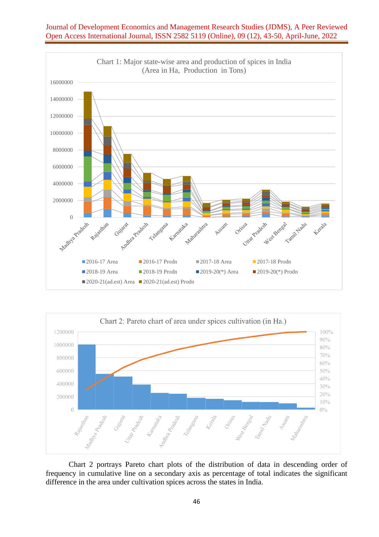





Chart 2 portrays Pareto chart plots of the distribution of data in descending order of frequency in cumulative line on a secondary axis as percentage of total indicates the significant difference in the area under cultivation spices across the states in India.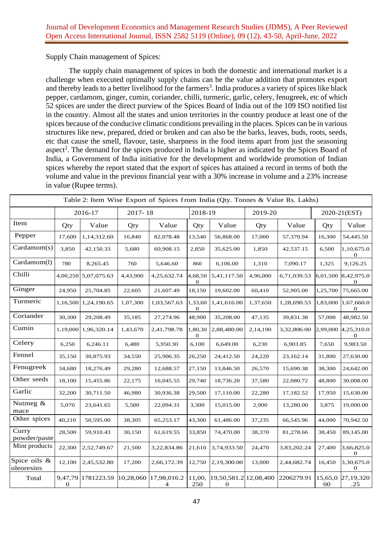Supply Chain management of Spices:

The supply chain management of spices in both the domestic and international market is a challenge when executed optimally supply chains can be the value addition that promotes export and thereby leads to a better livelihood for the farmers<sup>3</sup>. India produces a variety of spices like black pepper, cardamom, ginger, cumin, coriander, chilli, turmeric, garlic, celery, fenugreek, etc of which 52 spices are under the direct purview of the Spices Board of India out of the 109 ISO notified list in the country. Almost all the states and union territories in the country produce at least one of the spices because of the conducive climatic conditions prevailing in the places. Spices can be in various structures like new, prepared, dried or broken and can also be the barks, leaves, buds, roots, seeds, etc that cause the smell, flavour, taste, sharpness in the food items apart from just the seasoning aspect<sup>2</sup>. The demand for the spices produced in India is higher as indicated by the Spices Board of India, a Government of India initiative for the development and worldwide promotion of Indian spices whereby the report stated that the export of spices has attained a record in terms of both the volume and value in the previous financial year with a 30% increase in volume and a 23% increase in value (Rupee terms).

| Table 2: Item Wise Export of Spices from India (Qty. Tonnes & Value Rs. Lakhs) |                             |             |           |                  |                             |                                      |          |             |                   |                            |
|--------------------------------------------------------------------------------|-----------------------------|-------------|-----------|------------------|-----------------------------|--------------------------------------|----------|-------------|-------------------|----------------------------|
|                                                                                |                             | 2016-17     | 2017-18   |                  | 2018-19                     |                                      |          | 2019-20     | 2020-21(EST)      |                            |
| Item                                                                           | Qty                         | Value       | Qty       | Value            | Qty                         | Value                                | Qty      | Value       | Qty               | Value                      |
| Pepper                                                                         | 17,600                      | 1,14,312.60 | 16,840    | 82,078.48        | 13,540                      | 56,868.00                            | 17,000   | 57,370.94   | 16,300            | 54,445.50                  |
| Cardamom(s)                                                                    | 3,850                       | 42,150.33   | 5,680     | 60,908.15        | 2,850                       | 35,625.00                            | 1,850    | 42,537.15   | 6,500             | 1,10,675.0<br>0            |
| Cardamom(l)                                                                    | 780                         | 8,265.45    | 760       | 5,646.60         | 860                         | 6,106.00                             | 1,310    | 7,090.17    | 1,325             | 9,126.25                   |
| Chilli                                                                         | 4,00,250                    | 5,07,075.63 | 4,43,900  | 4,25,632.74      | 4,68,50<br>$\boldsymbol{0}$ | 5,41,117.50                          | 4,96,000 | 6,71,039.53 | 6,01,500          | 8,42,975.0<br>$\mathbf 0$  |
| Ginger                                                                         | 24,950                      | 25,704.85   | 22,605    | 21,607.49        | 18,150                      | 19,602.00                            | 60,410   | 52,905.00   | 1,25,700          | 75,665.00                  |
| Turmeric                                                                       | 1,16,500                    | 1,24,190.65 | 1,07,300  | 1,03,567.63      | 1,33,60<br>$\theta$         | 1,41,616.00                          | 1,37,650 | 1,28,690.53 | 1,83,000          | 1,67,660.0<br>$\theta$     |
| Coriander                                                                      | 30,300                      | 29,208.49   | 35,185    | 27,274.96        | 48,900                      | 35,208.00                            | 47,135   | 39,831.38   | 57,000            | 48,982.50                  |
| Cumin                                                                          | 1,19,000                    | 1,96,320.14 | 1,43,670  | 2,41,798.78      | 1,80,30<br>0                | 2,88,480.00                          | 2,14,190 | 3,32,806.00 | 2,99,000          | 4,25,310.0<br>$\mathbf{0}$ |
| Celery                                                                         | 6,250                       | 6,246.11    | 6,480     | 5,950.30         | 6,100                       | 6,649.00                             | 6,230    | 6,903.85    | 7,650             | 9,983.50                   |
| Fennel                                                                         | 35,150                      | 30,875.93   | 34,550    | 25,906.35        | 26,250                      | 24,412.50                            | 24,220   | 23,162.14   | 31,800            | 27,630.00                  |
| Fenugreek                                                                      | 34,680                      | 18,276.49   | 29,280    | 12,688.57        | 27,150                      | 13,846.50                            | 26,570   | 15,690.38   | 38,300            | 24,642.00                  |
| Other seeds                                                                    | 18,100                      | 15,455.86   | 22,175    | 16,045.55        | 29,740                      | 18,736.20                            | 37,580   | 22,080.72   | 48,800            | 30,008.00                  |
| Garlic                                                                         | 32,200                      | 30,711.50   | 46,980    | 30,936.38        | 29,500                      | 17,110.00                            | 22,280   | 17,182.52   | 17,950            | 15,630.00                  |
| Nutmeg &<br>mace                                                               | 5,070                       | 23,641.65   | 5,500     | 22,094.31        | 3,300                       | 15,015.00                            | 2,900    | 13,280.00   | 3,875             | 19,000.00                  |
| Other spices                                                                   | 40,210                      | 50,595.00   | 38,305    | 65,253.17        | 43,300                      | 61,486.00                            | 37,235   | 66,545.96   | 44,000            | 70,942.50                  |
| Curry<br>powder/paste                                                          | 28,500                      | 59,910.43   | 30,150    | 61,619.55        | 33,850                      | 74,470.00                            | 38,370   | 81,278.66   | 38,450            | 89,145.00                  |
| Mint products                                                                  | 22,300                      | 2,52,749.67 | 21,500    | 3,22,834.86      | 21,610                      | 3,74,933.50                          | 24,470   | 3,83,202.24 | 27,400            | 3,66,825.0<br>$\mathbf{0}$ |
| Spice oils &<br>oleoresins                                                     | 12,100                      | 2,45,532.80 | 17,200    | 2,66,172.39      | 12,750                      | 2,19,300.00                          | 13,000   | 2,44,682.74 | 16,450            | 3,30,675.0<br>$\mathbf{0}$ |
| Total                                                                          | 9,47,79<br>$\boldsymbol{0}$ | 1781223.59  | 10,28,060 | 17,98,016.2<br>4 | 11,00,<br>250               | 19,50,581.2 12,08,400<br>$\mathbf 0$ |          | 2206279.91  | 15,65,0<br>$00\,$ | 27,19,320<br>.25           |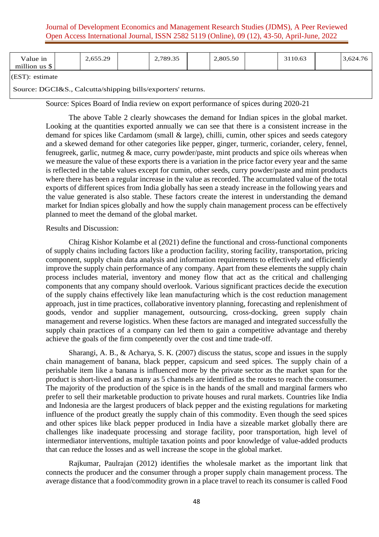## Journal of Development Economics and Management Research Studies (JDMS), A Peer Reviewed Open Access International Journal, ISSN 2582 5119 (Online), 09 (12), 43-50, April-June, 2022

| Value in<br>million us \$ | 2,655.29 | 2,789.35 | 2,805.50 | 3110.63 | 3,624.76 |
|---------------------------|----------|----------|----------|---------|----------|
| $\sqrt{2}$                |          |          |          |         |          |

(EST): estimate

Source: DGCI&S., Calcutta/shipping bills/exporters' returns.

Source: Spices Board of India review on export performance of spices during 2020-21

The above Table 2 clearly showcases the demand for Indian spices in the global market. Looking at the quantities exported annually we can see that there is a consistent increase in the demand for spices like Cardamom (small & large), chilli, cumin, other spices and seeds category and a skewed demand for other categories like pepper, ginger, turmeric, coriander, celery, fennel, fenugreek, garlic, nutmeg & mace, curry powder/paste, mint products and spice oils whereas when we measure the value of these exports there is a variation in the price factor every year and the same is reflected in the table values except for cumin, other seeds, curry powder/paste and mint products where there has been a regular increase in the value as recorded. The accumulated value of the total exports of different spices from India globally has seen a steady increase in the following years and the value generated is also stable. These factors create the interest in understanding the demand market for Indian spices globally and how the supply chain management process can be effectively planned to meet the demand of the global market.

### Results and Discussion:

Chirag Kishor Kolambe et al (2021) define the functional and cross-functional components of supply chains including factors like a production facility, storing facility, transportation, pricing component, supply chain data analysis and information requirements to effectively and efficiently improve the supply chain performance of any company. Apart from these elements the supply chain process includes material, inventory and money flow that act as the critical and challenging components that any company should overlook. Various significant practices decide the execution of the supply chains effectively like lean manufacturing which is the cost reduction management approach, just in time practices, collaborative inventory planning, forecasting and replenishment of goods, vendor and supplier management, outsourcing, cross-docking, green supply chain management and reverse logistics. When these factors are managed and integrated successfully the supply chain practices of a company can led them to gain a competitive advantage and thereby achieve the goals of the firm competently over the cost and time trade-off.

Sharangi, A. B., & Acharya, S. K. (2007) discuss the status, scope and issues in the supply chain management of banana, black pepper, capsicum and seed spices. The supply chain of a perishable item like a banana is influenced more by the private sector as the market span for the product is short-lived and as many as 5 channels are identified as the routes to reach the consumer. The majority of the production of the spice is in the hands of the small and marginal farmers who prefer to sell their marketable production to private houses and rural markets. Countries like India and Indonesia are the largest producers of black pepper and the existing regulations for marketing influence of the product greatly the supply chain of this commodity. Even though the seed spices and other spices like black pepper produced in India have a sizeable market globally there are challenges like inadequate processing and storage facility, poor transportation, high level of intermediator interventions, multiple taxation points and poor knowledge of value-added products that can reduce the losses and as well increase the scope in the global market.

Rajkumar, Paulrajan (2012) identifies the wholesale market as the important link that connects the producer and the consumer through a proper supply chain management process. The average distance that a food/commodity grown in a place travel to reach its consumer is called Food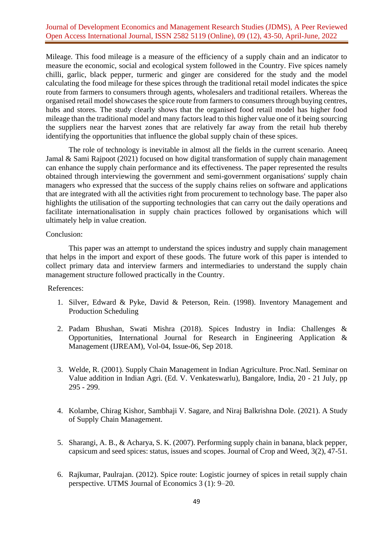# Journal of Development Economics and Management Research Studies (JDMS), A Peer Reviewed Open Access International Journal, ISSN 2582 5119 (Online), 09 (12), 43-50, April-June, 2022

Mileage. This food mileage is a measure of the efficiency of a supply chain and an indicator to measure the economic, social and ecological system followed in the Country. Five spices namely chilli, garlic, black pepper, turmeric and ginger are considered for the study and the model calculating the food mileage for these spices through the traditional retail model indicates the spice route from farmers to consumers through agents, wholesalers and traditional retailers. Whereas the organised retail model showcases the spice route from farmers to consumers through buying centres, hubs and stores. The study clearly shows that the organised food retail model has higher food mileage than the traditional model and many factors lead to this higher value one of it being sourcing the suppliers near the harvest zones that are relatively far away from the retail hub thereby identifying the opportunities that influence the global supply chain of these spices.

The role of technology is inevitable in almost all the fields in the current scenario. Aneeq Jamal & Sami Rajpoot (2021) focused on how digital transformation of supply chain management can enhance the supply chain performance and its effectiveness. The paper represented the results obtained through interviewing the government and semi-government organisations' supply chain managers who expressed that the success of the supply chains relies on software and applications that are integrated with all the activities right from procurement to technology base. The paper also highlights the utilisation of the supporting technologies that can carry out the daily operations and facilitate internationalisation in supply chain practices followed by organisations which will ultimately help in value creation.

#### Conclusion:

This paper was an attempt to understand the spices industry and supply chain management that helps in the import and export of these goods. The future work of this paper is intended to collect primary data and interview farmers and intermediaries to understand the supply chain management structure followed practically in the Country.

### References:

- 1. Silver, Edward & Pyke, David & Peterson, Rein. (1998). Inventory Management and Production Scheduling
- 2. Padam Bhushan, Swati Mishra (2018). Spices Industry in India: Challenges & Opportunities, International Journal for Research in Engineering Application & Management (IJREAM), Vol-04, Issue-06, Sep 2018.
- 3. Welde, R. (2001). Supply Chain Management in Indian Agriculture. Proc.Natl. Seminar on Value addition in Indian Agri. (Ed. V. Venkateswarlu), Bangalore, India, 20 - 21 July, pp 295 - 299.
- 4. Kolambe, Chirag Kishor, Sambhaji V. Sagare, and Niraj Balkrishna Dole. (2021). A Study of Supply Chain Management.
- 5. Sharangi, A. B., & Acharya, S. K. (2007). Performing supply chain in banana, black pepper, capsicum and seed spices: status, issues and scopes. Journal of Crop and Weed, 3(2), 47-51.
- 6. Rajkumar, Paulrajan. (2012). Spice route: Logistic journey of spices in retail supply chain perspective. UTMS Journal of Economics 3 (1): 9–20.